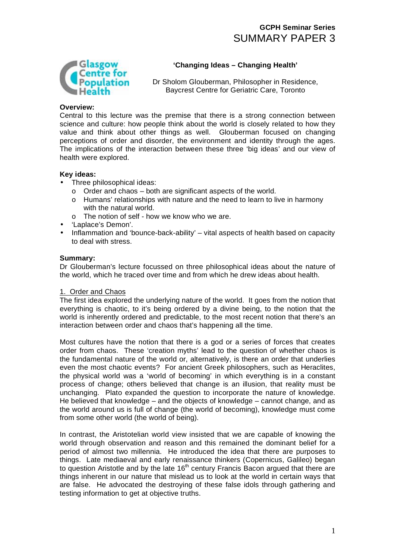# **GCPH Seminar Series**  SUMMARY PAPER 3



## **'Changing Ideas – Changing Health'**

Dr Sholom Glouberman, Philosopher in Residence, Baycrest Centre for Geriatric Care, Toronto

### **Overview:**

Central to this lecture was the premise that there is a strong connection between science and culture: how people think about the world is closely related to how they value and think about other things as well. Glouberman focused on changing perceptions of order and disorder, the environment and identity through the ages. The implications of the interaction between these three 'big ideas' and our view of health were explored.

## **Key ideas:**

- Three philosophical ideas:
	- o Order and chaos both are significant aspects of the world.
	- o Humans' relationships with nature and the need to learn to live in harmony with the natural world.
	- o The notion of self how we know who we are.
- 'Laplace's Demon'.
- Inflammation and 'bounce-back-ability' vital aspects of health based on capacity to deal with stress.

## **Summary:**

Dr Glouberman's lecture focussed on three philosophical ideas about the nature of the world, which he traced over time and from which he drew ideas about health.

## 1. Order and Chaos

The first idea explored the underlying nature of the world. It goes from the notion that everything is chaotic, to it's being ordered by a divine being, to the notion that the world is inherently ordered and predictable, to the most recent notion that there's an interaction between order and chaos that's happening all the time.

Most cultures have the notion that there is a god or a series of forces that creates order from chaos. These 'creation myths' lead to the question of whether chaos is the fundamental nature of the world or, alternatively, is there an order that underlies even the most chaotic events? For ancient Greek philosophers, such as Heraclites, the physical world was a 'world of becoming' in which everything is in a constant process of change; others believed that change is an illusion, that reality must be unchanging. Plato expanded the question to incorporate the nature of knowledge. He believed that knowledge – and the objects of knowledge – cannot change, and as the world around us is full of change (the world of becoming), knowledge must come from some other world (the world of being).

In contrast, the Aristotelian world view insisted that we are capable of knowing the world through observation and reason and this remained the dominant belief for a period of almost two millennia. He introduced the idea that there are purposes to things. Late mediaeval and early renaissance thinkers (Copernicus, Galileo) began to question Aristotle and by the late 16<sup>th</sup> century Francis Bacon argued that there are things inherent in our nature that mislead us to look at the world in certain ways that are false. He advocated the destroying of these false idols through gathering and testing information to get at objective truths.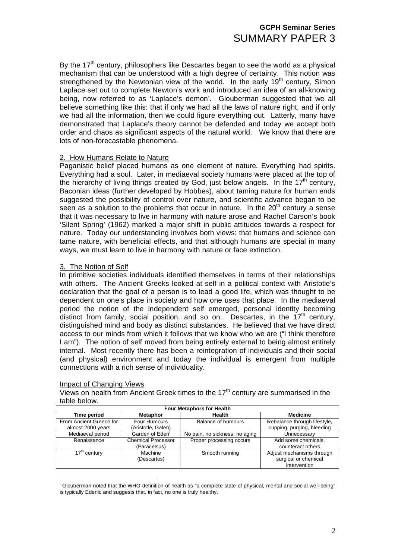# **GCPH Seminar Series**  SUMMARY PAPER 3

By the  $17<sup>th</sup>$  century, philosophers like Descartes began to see the world as a physical mechanism that can be understood with a high degree of certainty. This notion was strengthened by the Newtonian view of the world. In the early  $19<sup>th</sup>$  century, Simon Laplace set out to complete Newton's work and introduced an idea of an all-knowing being, now referred to as 'Laplace's demon'. Glouberman suggested that we all believe something like this: that if only we had all the laws of nature right, and if only we had all the information, then we could figure everything out. Latterly, many have demonstrated that Laplace's theory cannot be defended and today we accept both order and chaos as significant aspects of the natural world. We know that there are lots of non-forecastable phenomena.

#### 2. How Humans Relate to Nature

Paganistic belief placed humans as one element of nature. Everything had spirits. Everything had a soul. Later, in mediaeval society humans were placed at the top of the hierarchy of living things created by God, just below angels. In the  $17<sup>th</sup>$  century, Baconian ideas (further developed by Hobbes), about taming nature for human ends suggested the possibility of control over nature, and scientific advance began to be seen as a solution to the problems that occur in nature. In the  $20<sup>th</sup>$  century a sense that it was necessary to live in harmony with nature arose and Rachel Carson's book 'Silent Spring' (1962) marked a major shift in public attitudes towards a respect for nature. Today our understanding involves both views: that humans and science can tame nature, with beneficial effects, and that although humans are special in many ways, we must learn to live in harmony with nature or face extinction.

#### 3. The Notion of Self

In primitive societies individuals identified themselves in terms of their relationships with others. The Ancient Greeks looked at self in a political context with Aristotle's declaration that the goal of a person is to lead a good life, which was thought to be dependent on one's place in society and how one uses that place. In the mediaeval period the notion of the independent self emerged, personal identity becoming distinct from family, social position, and so on. Descartes, in the  $17<sup>th</sup>$  century, distinguished mind and body as distinct substances. He believed that we have direct access to our minds from which it follows that we know who we are ("I think therefore I am"). The notion of self moved from being entirely external to being almost entirely internal. Most recently there has been a reintegration of individuals and their social (and physical) environment and today the individual is emergent from multiple connections with a rich sense of individuality.

### Impact of Changing Views

Views on health from Ancient Greek times to the  $17<sup>th</sup>$  century are summarised in the table below.

| <b>Four Metaphors for Health</b> |                             |                                |                              |
|----------------------------------|-----------------------------|--------------------------------|------------------------------|
| Time period                      | <b>Metaphor</b>             | <b>Health</b>                  | <b>Medicine</b>              |
| From Ancient Greece for          | Four Humours                | Balance of humours             | Rebalance through lifestyle, |
| almost 2000 years                | (Aristotle, Galen)          |                                | cupping, purging, bleeding   |
| Mediaeval period                 | Garden of Eden <sup>'</sup> | No pain, no sickness, no aging | Unnecessary                  |
| Renaissance                      | Chemical Processor          | Proper processing occurs       | Add some chemicals,          |
|                                  | (Paracelsus)                |                                | counteract others            |
| $17th$ century                   | Machine                     | Smooth running                 | Adjust mechanisms through    |
|                                  | (Descartes)                 |                                | surgical or chemical         |
|                                  |                             |                                | intervention                 |

 $\overline{a}$ <sup>i</sup> Glouberman noted that the WHO definition of health as "a complete state of physical, mental and social well-being" is typically Edenic and suggests that, in fact, no one is truly healthy.